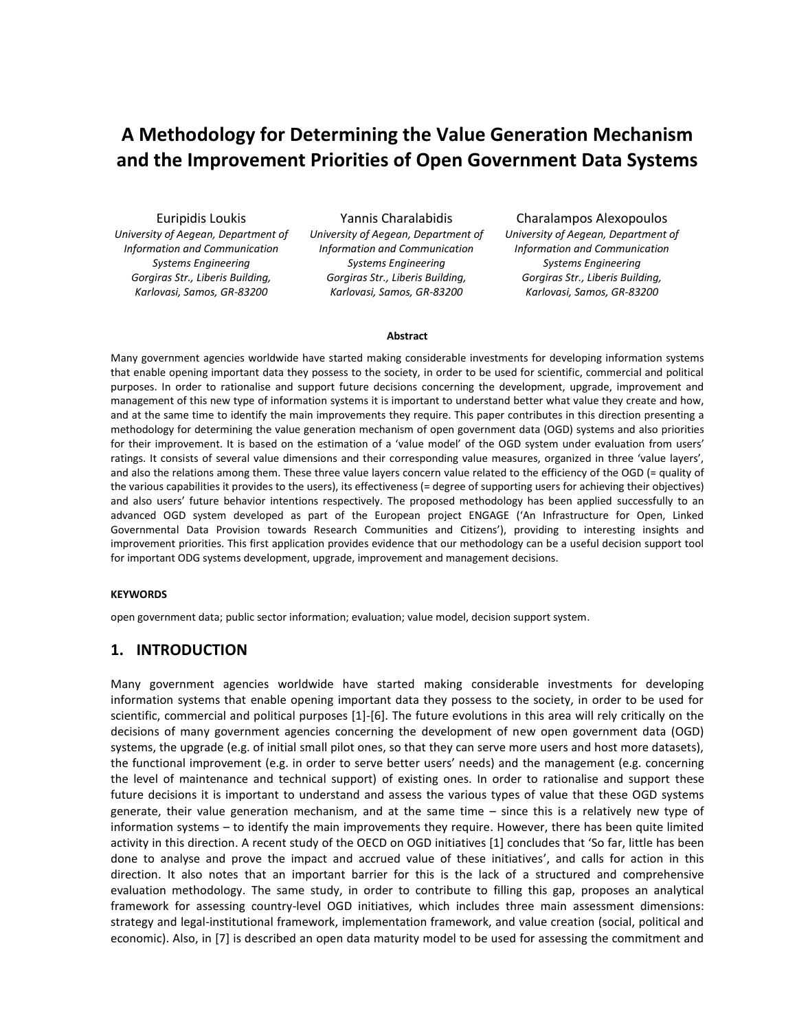# **A Methodology for Determining the Value Generation Mechanism and the Improvement Priorities of Open Government Data Systems**

Euripidis Loukis *University of Aegean, Department of Information and Communication Systems Engineering Gorgiras Str., Liberis Building, Karlovasi, Samos, GR-83200*

Yannis Charalabidis *University of Aegean, Department of Information and Communication Systems Engineering Gorgiras Str., Liberis Building, Karlovasi, Samos, GR-83200*

Charalampos Alexopoulos *University of Aegean, Department of Information and Communication Systems Engineering Gorgiras Str., Liberis Building, Karlovasi, Samos, GR-83200*

#### **Abstract**

Many government agencies worldwide have started making considerable investments for developing information systems that enable opening important data they possess to the society, in order to be used for scientific, commercial and political purposes. In order to rationalise and support future decisions concerning the development, upgrade, improvement and management of this new type of information systems it is important to understand better what value they create and how, and at the same time to identify the main improvements they require. This paper contributes in this direction presenting a methodology for determining the value generation mechanism of open government data (OGD) systems and also priorities for their improvement. It is based on the estimation of a 'value model' of the OGD system under evaluation from users' ratings. It consists of several value dimensions and their corresponding value measures, organized in three 'value layers', and also the relations among them. These three value layers concern value related to the efficiency of the OGD (= quality of the various capabilities it provides to the users), its effectiveness (= degree of supporting users for achieving their objectives) and also users' future behavior intentions respectively. The proposed methodology has been applied successfully to an advanced OGD system developed as part of the European project ENGAGE ('An Infrastructure for Open, Linked Governmental Data Provision towards Research Communities and Citizens'), providing to interesting insights and improvement priorities. This first application provides evidence that our methodology can be a useful decision support tool for important ODG systems development, upgrade, improvement and management decisions.

#### **KEYWORDS**

open government data; public sector information; evaluation; value model, decision support system.

#### **1. INTRODUCTION**

Many government agencies worldwide have started making considerable investments for developing information systems that enable opening important data they possess to the society, in order to be used for scientific, commercial and political purposes [1]-[6]. The future evolutions in this area will rely critically on the decisions of many government agencies concerning the development of new open government data (OGD) systems, the upgrade (e.g. of initial small pilot ones, so that they can serve more users and host more datasets), the functional improvement (e.g. in order to serve better users' needs) and the management (e.g. concerning the level of maintenance and technical support) of existing ones. In order to rationalise and support these future decisions it is important to understand and assess the various types of value that these OGD systems generate, their value generation mechanism, and at the same time – since this is a relatively new type of information systems – to identify the main improvements they require. However, there has been quite limited activity in this direction. A recent study of the OECD on OGD initiatives [1] concludes that 'So far, little has been done to analyse and prove the impact and accrued value of these initiatives', and calls for action in this direction. It also notes that an important barrier for this is the lack of a structured and comprehensive evaluation methodology. The same study, in order to contribute to filling this gap, proposes an analytical framework for assessing country-level OGD initiatives, which includes three main assessment dimensions: strategy and legal-institutional framework, implementation framework, and value creation (social, political and economic). Also, in [7] is described an open data maturity model to be used for assessing the commitment and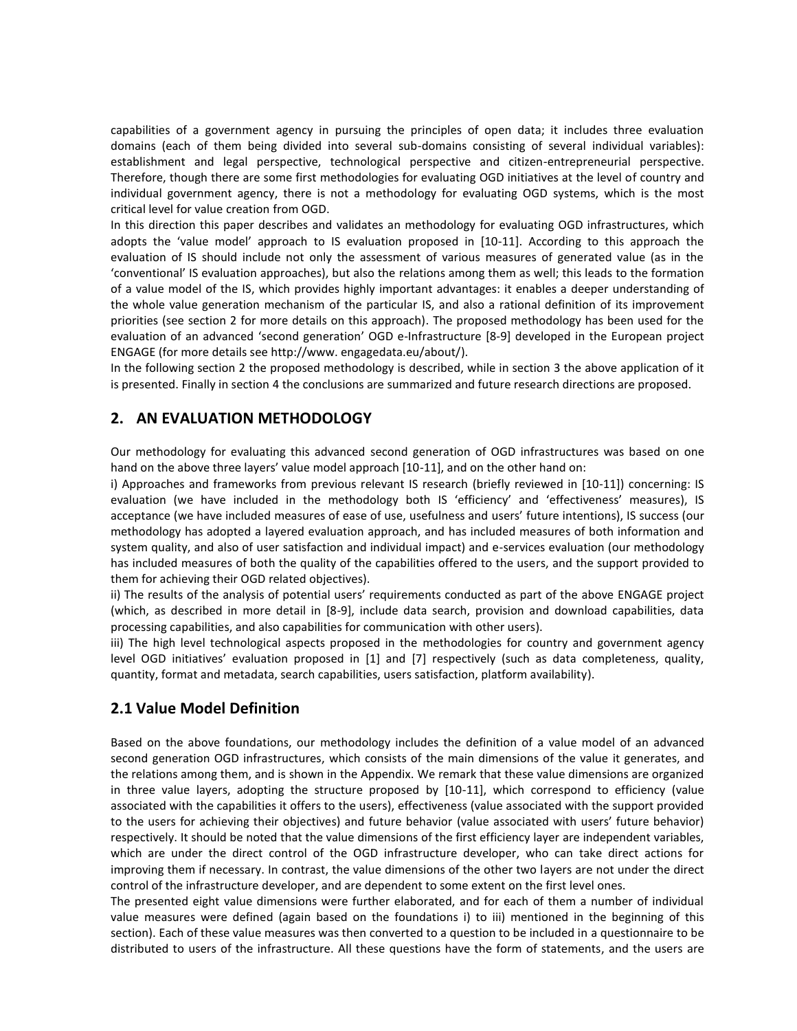capabilities of a government agency in pursuing the principles of open data; it includes three evaluation domains (each of them being divided into several sub-domains consisting of several individual variables): establishment and legal perspective, technological perspective and citizen-entrepreneurial perspective. Therefore, though there are some first methodologies for evaluating OGD initiatives at the level of country and individual government agency, there is not a methodology for evaluating OGD systems, which is the most critical level for value creation from OGD.

In this direction this paper describes and validates an methodology for evaluating OGD infrastructures, which adopts the 'value model' approach to IS evaluation proposed in [10-11]. According to this approach the evaluation of IS should include not only the assessment of various measures of generated value (as in the 'conventional' IS evaluation approaches), but also the relations among them as well; this leads to the formation of a value model of the IS, which provides highly important advantages: it enables a deeper understanding of the whole value generation mechanism of the particular IS, and also a rational definition of its improvement priorities (see section 2 for more details on this approach). The proposed methodology has been used for the evaluation of an advanced 'second generation' OGD e-Infrastructure [8-9] developed in the European project ENGAGE (for more details see http://www. engagedata.eu/about/).

In the following section 2 the proposed methodology is described, while in section 3 the above application of it is presented. Finally in section 4 the conclusions are summarized and future research directions are proposed.

## **2. AN EVALUATION METHODOLOGY**

Our methodology for evaluating this advanced second generation of OGD infrastructures was based on one hand on the above three layers' value model approach [10-11], and on the other hand on:

i) Approaches and frameworks from previous relevant IS research (briefly reviewed in [10-11]) concerning: IS evaluation (we have included in the methodology both IS 'efficiency' and 'effectiveness' measures), IS acceptance (we have included measures of ease of use, usefulness and users' future intentions), IS success (our methodology has adopted a layered evaluation approach, and has included measures of both information and system quality, and also of user satisfaction and individual impact) and e-services evaluation (our methodology has included measures of both the quality of the capabilities offered to the users, and the support provided to them for achieving their OGD related objectives).

ii) The results of the analysis of potential users' requirements conducted as part of the above ENGAGE project (which, as described in more detail in [8-9], include data search, provision and download capabilities, data processing capabilities, and also capabilities for communication with other users).

iii) The high level technological aspects proposed in the methodologies for country and government agency level OGD initiatives' evaluation proposed in [1] and [7] respectively (such as data completeness, quality, quantity, format and metadata, search capabilities, users satisfaction, platform availability).

#### **2.1 Value Model Definition**

Based on the above foundations, our methodology includes the definition of a value model of an advanced second generation OGD infrastructures, which consists of the main dimensions of the value it generates, and the relations among them, and is shown in the Appendix. We remark that these value dimensions are organized in three value layers, adopting the structure proposed by [10-11], which correspond to efficiency (value associated with the capabilities it offers to the users), effectiveness (value associated with the support provided to the users for achieving their objectives) and future behavior (value associated with users' future behavior) respectively. It should be noted that the value dimensions of the first efficiency layer are independent variables, which are under the direct control of the OGD infrastructure developer, who can take direct actions for improving them if necessary. In contrast, the value dimensions of the other two layers are not under the direct control of the infrastructure developer, and are dependent to some extent on the first level ones.

The presented eight value dimensions were further elaborated, and for each of them a number of individual value measures were defined (again based on the foundations i) to iii) mentioned in the beginning of this section). Each of these value measures was then converted to a question to be included in a questionnaire to be distributed to users of the infrastructure. All these questions have the form of statements, and the users are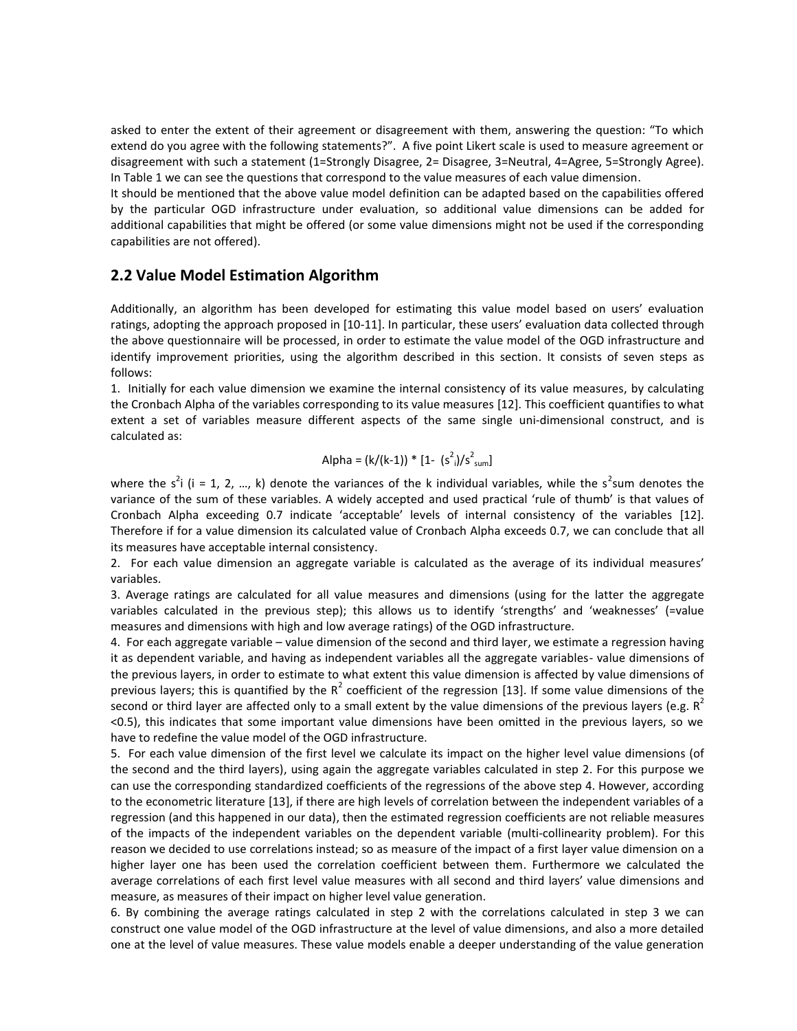asked to enter the extent of their agreement or disagreement with them, answering the question: "To which extend do you agree with the following statements?". A five point Likert scale is used to measure agreement or disagreement with such a statement (1=Strongly Disagree, 2= Disagree, 3=Neutral, 4=Agree, 5=Strongly Agree). In Table 1 we can see the questions that correspond to the value measures of each value dimension.

It should be mentioned that the above value model definition can be adapted based on the capabilities offered by the particular OGD infrastructure under evaluation, so additional value dimensions can be added for additional capabilities that might be offered (or some value dimensions might not be used if the corresponding capabilities are not offered).

### **2.2 Value Model Estimation Algorithm**

Additionally, an algorithm has been developed for estimating this value model based on users' evaluation ratings, adopting the approach proposed in [10-11]. In particular, these users' evaluation data collected through the above questionnaire will be processed, in order to estimate the value model of the OGD infrastructure and identify improvement priorities, using the algorithm described in this section. It consists of seven steps as follows:

1. Initially for each value dimension we examine the internal consistency of its value measures, by calculating the Cronbach Alpha of the variables corresponding to its value measures [12]. This coefficient quantifies to what extent a set of variables measure different aspects of the same single uni-dimensional construct, and is calculated as:

Alpha = 
$$
(k/(k-1)) * [1 - (s2)/s2_{sum}]
$$

where the s<sup>2</sup>i (i = 1, 2, ..., k) denote the variances of the k individual variables, while the s<sup>2</sup>sum denotes the variance of the sum of these variables. A widely accepted and used practical 'rule of thumb' is that values of Cronbach Alpha exceeding 0.7 indicate 'acceptable' levels of internal consistency of the variables [12]. Therefore if for a value dimension its calculated value of Cronbach Alpha exceeds 0.7, we can conclude that all its measures have acceptable internal consistency.

2. For each value dimension an aggregate variable is calculated as the average of its individual measures' variables.

3. Average ratings are calculated for all value measures and dimensions (using for the latter the aggregate variables calculated in the previous step); this allows us to identify 'strengths' and 'weaknesses' (=value measures and dimensions with high and low average ratings) of the OGD infrastructure.

4. For each aggregate variable – value dimension of the second and third layer, we estimate a regression having it as dependent variable, and having as independent variables all the aggregate variables- value dimensions of the previous layers, in order to estimate to what extent this value dimension is affected by value dimensions of previous layers; this is quantified by the  $R^2$  coefficient of the regression [13]. If some value dimensions of the second or third layer are affected only to a small extent by the value dimensions of the previous layers (e.g.  $R^2$ <0.5), this indicates that some important value dimensions have been omitted in the previous layers, so we have to redefine the value model of the OGD infrastructure.

5. For each value dimension of the first level we calculate its impact on the higher level value dimensions (of the second and the third layers), using again the aggregate variables calculated in step 2. For this purpose we can use the corresponding standardized coefficients of the regressions of the above step 4. However, according to the econometric literature [13], if there are high levels of correlation between the independent variables of a regression (and this happened in our data), then the estimated regression coefficients are not reliable measures of the impacts of the independent variables on the dependent variable (multi-collinearity problem). For this reason we decided to use correlations instead; so as measure of the impact of a first layer value dimension on a higher layer one has been used the correlation coefficient between them. Furthermore we calculated the average correlations of each first level value measures with all second and third layers' value dimensions and measure, as measures of their impact on higher level value generation.

6. By combining the average ratings calculated in step 2 with the correlations calculated in step 3 we can construct one value model of the OGD infrastructure at the level of value dimensions, and also a more detailed one at the level of value measures. These value models enable a deeper understanding of the value generation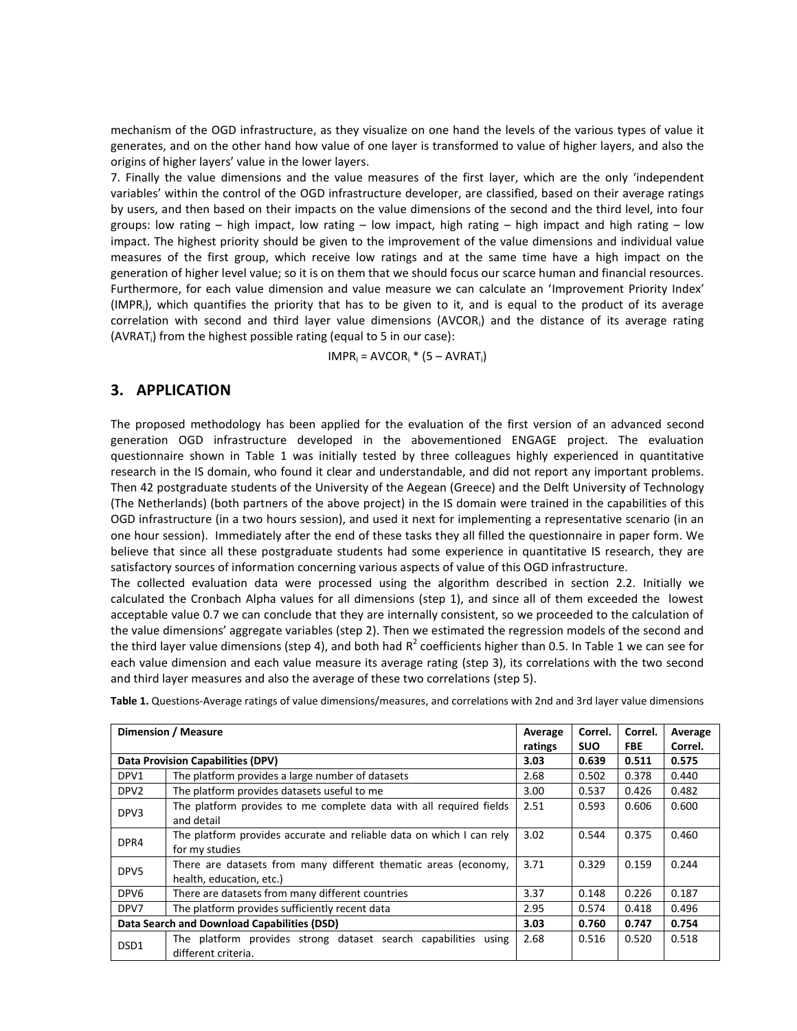mechanism of the OGD infrastructure, as they visualize on one hand the levels of the various types of value it generates, and on the other hand how value of one layer is transformed to value of higher layers, and also the origins of higher layers' value in the lower layers.

7. Finally the value dimensions and the value measures of the first layer, which are the only 'independent variables' within the control of the OGD infrastructure developer, are classified, based on their average ratings by users, and then based on their impacts on the value dimensions of the second and the third level, into four groups: low rating – high impact, low rating – low impact, high rating – high impact and high rating – low impact. The highest priority should be given to the improvement of the value dimensions and individual value measures of the first group, which receive low ratings and at the same time have a high impact on the generation of higher level value; so it is on them that we should focus our scarce human and financial resources. Furthermore, for each value dimension and value measure we can calculate an 'Improvement Priority Index' (IMPR<sup>i</sup> ), which quantifies the priority that has to be given to it, and is equal to the product of its average correlation with second and third layer value dimensions (AVCOR<sup>i</sup> ) and the distance of its average rating (AVRAT<sub>i</sub>) from the highest possible rating (equal to 5 in our case):

 $IMPR<sub>i</sub> = AVCOR<sub>i</sub> * (5 - AVRAT<sub>i</sub>)$ 

## **3. APPLICATION**

The proposed methodology has been applied for the evaluation of the first version of an advanced second generation OGD infrastructure developed in the abovementioned ENGAGE project. The evaluation questionnaire shown in Table 1 was initially tested by three colleagues highly experienced in quantitative research in the IS domain, who found it clear and understandable, and did not report any important problems. Then 42 postgraduate students of the University of the Aegean (Greece) and the Delft University of Technology (The Netherlands) (both partners of the above project) in the IS domain were trained in the capabilities of this OGD infrastructure (in a two hours session), and used it next for implementing a representative scenario (in an one hour session). Immediately after the end of these tasks they all filled the questionnaire in paper form. We believe that since all these postgraduate students had some experience in quantitative IS research, they are satisfactory sources of information concerning various aspects of value of this OGD infrastructure.

The collected evaluation data were processed using the algorithm described in section 2.2. Initially we calculated the Cronbach Alpha values for all dimensions (step 1), and since all of them exceeded the lowest acceptable value 0.7 we can conclude that they are internally consistent, so we proceeded to the calculation of the value dimensions' aggregate variables (step 2). Then we estimated the regression models of the second and the third layer value dimensions (step 4), and both had  $R^2$  coefficients higher than 0.5. In Table 1 we can see for each value dimension and each value measure its average rating (step 3), its correlations with the two second and third layer measures and also the average of these two correlations (step 5).

| Dimension / Measure                         |                                                                                             | Average         | Correl.             | Correl.             | Average<br>Correl. |
|---------------------------------------------|---------------------------------------------------------------------------------------------|-----------------|---------------------|---------------------|--------------------|
| <b>Data Provision Capabilities (DPV)</b>    |                                                                                             | ratings<br>3.03 | <b>SUO</b><br>0.639 | <b>FBE</b><br>0.511 | 0.575              |
| DPV1                                        | The platform provides a large number of datasets                                            | 2.68            | 0.502               | 0.378               | 0.440              |
| DPV <sub>2</sub>                            | The platform provides datasets useful to me                                                 | 3.00            | 0.537               | 0.426               | 0.482              |
| DPV3                                        | The platform provides to me complete data with all required fields<br>and detail            | 2.51            | 0.593               | 0.606               | 0.600              |
| DPR4                                        | The platform provides accurate and reliable data on which I can rely<br>for my studies      | 3.02            | 0.544               | 0.375               | 0.460              |
| DPV <sub>5</sub>                            | There are datasets from many different thematic areas (economy,<br>health, education, etc.) | 3.71            | 0.329               | 0.159               | 0.244              |
| DPV <sub>6</sub>                            | There are datasets from many different countries                                            | 3.37            | 0.148               | 0.226               | 0.187              |
| DPV7                                        | The platform provides sufficiently recent data                                              | 2.95            | 0.574               | 0.418               | 0.496              |
| Data Search and Download Capabilities (DSD) |                                                                                             | 3.03            | 0.760               | 0.747               | 0.754              |
| DSD <sub>1</sub>                            | The platform provides strong dataset search capabilities using<br>different criteria.       | 2.68            | 0.516               | 0.520               | 0.518              |

**Table 1.** Questions-Average ratings of value dimensions/measures, and correlations with 2nd and 3rd layer value dimensions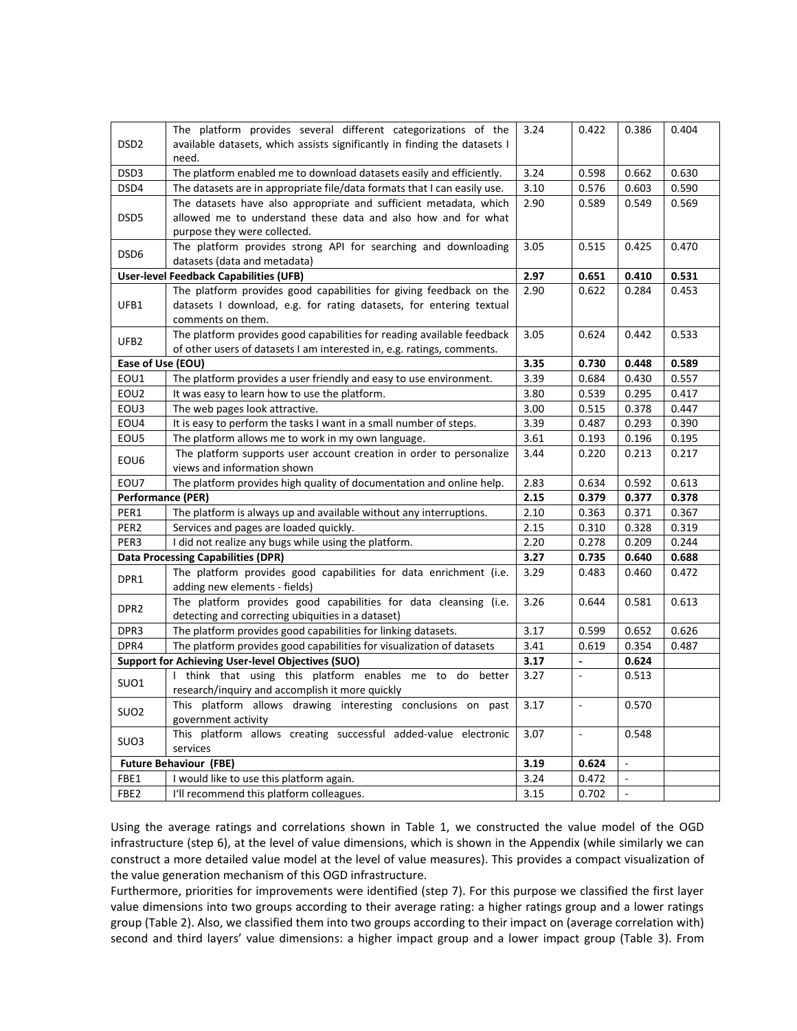| DSD <sub>2</sub>                                                 | The platform provides several different categorizations of the<br>available datasets, which assists significantly in finding the datasets I<br>need. | 3.24 | 0.422                        | 0.386          | 0.404 |
|------------------------------------------------------------------|------------------------------------------------------------------------------------------------------------------------------------------------------|------|------------------------------|----------------|-------|
| DSD3                                                             | The platform enabled me to download datasets easily and efficiently.                                                                                 | 3.24 | 0.598                        | 0.662          | 0.630 |
| DSD4                                                             | The datasets are in appropriate file/data formats that I can easily use.                                                                             | 3.10 | 0.576                        | 0.603          | 0.590 |
| DSD <sub>5</sub>                                                 | The datasets have also appropriate and sufficient metadata, which                                                                                    | 2.90 | 0.589                        | 0.549          | 0.569 |
|                                                                  | allowed me to understand these data and also how and for what                                                                                        |      |                              |                |       |
|                                                                  | purpose they were collected.                                                                                                                         |      |                              |                |       |
|                                                                  | The platform provides strong API for searching and downloading                                                                                       | 3.05 | 0.515                        | 0.425          | 0.470 |
| DSD <sub>6</sub>                                                 | datasets (data and metadata)                                                                                                                         |      |                              |                |       |
| <b>User-level Feedback Capabilities (UFB)</b>                    |                                                                                                                                                      | 2.97 | 0.651                        | 0.410          | 0.531 |
|                                                                  | The platform provides good capabilities for giving feedback on the                                                                                   | 2.90 | 0.622                        | 0.284          | 0.453 |
| UFB1                                                             | datasets I download, e.g. for rating datasets, for entering textual                                                                                  |      |                              |                |       |
|                                                                  | comments on them.                                                                                                                                    |      |                              |                |       |
| UFB <sub>2</sub>                                                 | The platform provides good capabilities for reading available feedback                                                                               | 3.05 | 0.624                        | 0.442          | 0.533 |
|                                                                  | of other users of datasets I am interested in, e.g. ratings, comments.                                                                               |      |                              |                |       |
| Ease of Use (EOU)                                                |                                                                                                                                                      | 3.35 | 0.730                        | 0.448          | 0.589 |
| EOU1                                                             | The platform provides a user friendly and easy to use environment.                                                                                   | 3.39 | 0.684                        | 0.430          | 0.557 |
| EOU2                                                             | It was easy to learn how to use the platform.                                                                                                        | 3.80 | 0.539                        | 0.295          | 0.417 |
| EOU3                                                             | The web pages look attractive.                                                                                                                       | 3.00 | 0.515                        | 0.378          | 0.447 |
| EOU4                                                             | It is easy to perform the tasks I want in a small number of steps.                                                                                   | 3.39 | 0.487                        | 0.293          | 0.390 |
| EOU5                                                             | The platform allows me to work in my own language.                                                                                                   | 3.61 | 0.193                        | 0.196          | 0.195 |
| EOU6                                                             | The platform supports user account creation in order to personalize                                                                                  | 3.44 | 0.220                        | 0.213          | 0.217 |
|                                                                  | views and information shown                                                                                                                          |      |                              |                |       |
| EOU7                                                             | The platform provides high quality of documentation and online help.                                                                                 | 2.83 | 0.634                        | 0.592          | 0.613 |
| <b>Performance (PER)</b>                                         |                                                                                                                                                      | 2.15 | 0.379                        | 0.377          | 0.378 |
| PER1                                                             | The platform is always up and available without any interruptions.                                                                                   | 2.10 | 0.363                        | 0.371          | 0.367 |
| PER <sub>2</sub>                                                 | Services and pages are loaded quickly.                                                                                                               | 2.15 | 0.310                        | 0.328          | 0.319 |
| PER3                                                             | I did not realize any bugs while using the platform.                                                                                                 | 2.20 | 0.278                        | 0.209          | 0.244 |
|                                                                  | <b>Data Processing Capabilities (DPR)</b>                                                                                                            | 3.27 | 0.735                        | 0.640          | 0.688 |
| DPR1                                                             | The platform provides good capabilities for data enrichment (i.e.                                                                                    | 3.29 | 0.483                        | 0.460          | 0.472 |
|                                                                  | adding new elements - fields)                                                                                                                        |      |                              |                |       |
| DPR <sub>2</sub>                                                 | The platform provides good capabilities for data cleansing (i.e.                                                                                     | 3.26 | 0.644                        | 0.581          | 0.613 |
|                                                                  | detecting and correcting ubiquities in a dataset)                                                                                                    |      |                              |                |       |
| DPR3                                                             | The platform provides good capabilities for linking datasets.                                                                                        | 3.17 | 0.599                        | 0.652          | 0.626 |
| DPR4                                                             | The platform provides good capabilities for visualization of datasets                                                                                | 3.41 | 0.619                        | 0.354          | 0.487 |
|                                                                  | <b>Support for Achieving User-level Objectives (SUO)</b>                                                                                             | 3.17 | $\qquad \qquad \blacksquare$ | 0.624          |       |
| SUO1                                                             | I think that using this platform enables me to do better                                                                                             | 3.27 | $\blacksquare$               | 0.513          |       |
|                                                                  | research/inquiry and accomplish it more quickly                                                                                                      |      |                              |                |       |
| SUO <sub>2</sub>                                                 | This platform allows drawing interesting conclusions on past                                                                                         | 3.17 | ۰                            | 0.570          |       |
|                                                                  | government activity                                                                                                                                  |      |                              |                |       |
| SUO3                                                             | This platform allows creating successful added-value electronic                                                                                      | 3.07 | $\mathcal{L}^{\mathcal{A}}$  | 0.548          |       |
|                                                                  | services                                                                                                                                             |      |                              |                |       |
| <b>Future Behaviour (FBE)</b><br>3.19<br>0.624<br>$\blacksquare$ |                                                                                                                                                      |      |                              |                |       |
| FBE1                                                             | I would like to use this platform again.                                                                                                             | 3.24 | 0.472                        |                |       |
| FBE <sub>2</sub>                                                 | I'll recommend this platform colleagues.                                                                                                             | 3.15 | 0.702                        | $\blacksquare$ |       |

Using the average ratings and correlations shown in Table 1, we constructed the value model of the OGD infrastructure (step 6), at the level of value dimensions, which is shown in the Appendix (while similarly we can construct a more detailed value model at the level of value measures). This provides a compact visualization of the value generation mechanism of this OGD infrastructure.

Furthermore, priorities for improvements were identified (step 7). For this purpose we classified the first layer value dimensions into two groups according to their average rating: a higher ratings group and a lower ratings group (Table 2). Also, we classified them into two groups according to their impact on (average correlation with) second and third layers' value dimensions: a higher impact group and a lower impact group (Table 3). From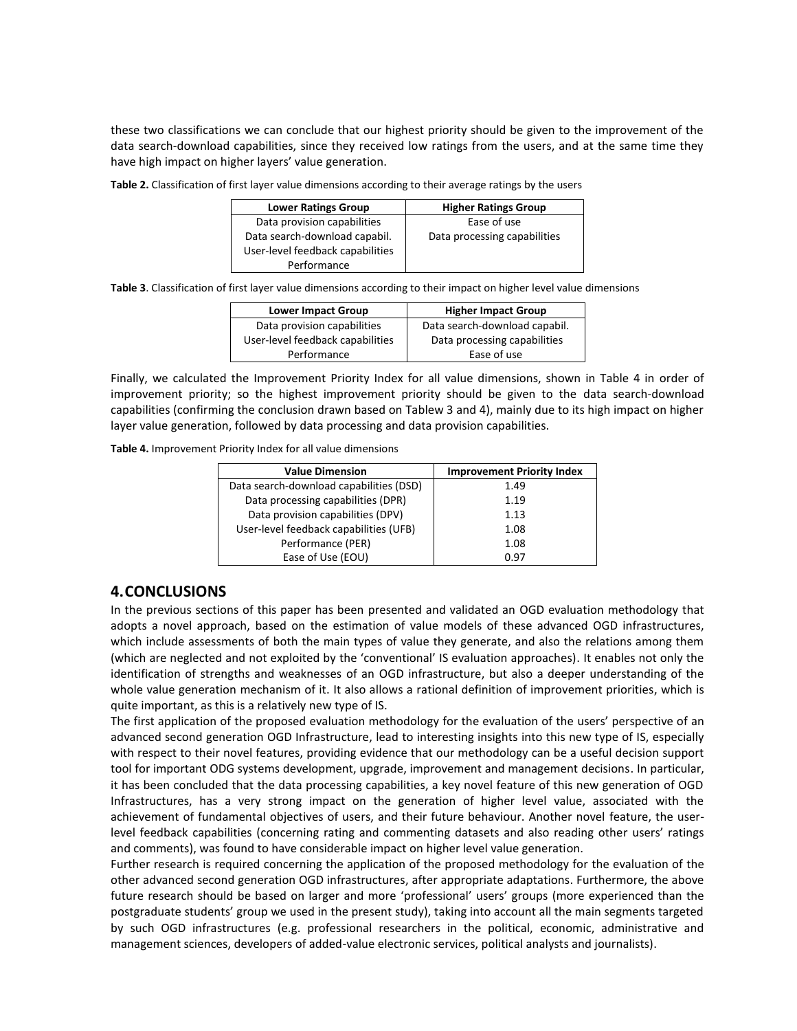these two classifications we can conclude that our highest priority should be given to the improvement of the data search-download capabilities, since they received low ratings from the users, and at the same time they have high impact on higher layers' value generation.

**Table 2.** Classification of first layer value dimensions according to their average ratings by the users

| <b>Lower Ratings Group</b>       | <b>Higher Ratings Group</b>  |
|----------------------------------|------------------------------|
| Data provision capabilities      | Ease of use                  |
| Data search-download capabil.    | Data processing capabilities |
| User-level feedback capabilities |                              |
| Performance                      |                              |

**Table 3**. Classification of first layer value dimensions according to their impact on higher level value dimensions

| <b>Lower Impact Group</b>        | <b>Higher Impact Group</b>    |
|----------------------------------|-------------------------------|
| Data provision capabilities      | Data search-download capabil. |
| User-level feedback capabilities | Data processing capabilities  |
| Performance                      | Ease of use                   |

Finally, we calculated the Improvement Priority Index for all value dimensions, shown in Table 4 in order of improvement priority; so the highest improvement priority should be given to the data search-download capabilities (confirming the conclusion drawn based on Tablew 3 and 4), mainly due to its high impact on higher layer value generation, followed by data processing and data provision capabilities.

**Table 4.** Improvement Priority Index for all value dimensions

| <b>Value Dimension</b>                  | <b>Improvement Priority Index</b> |  |  |
|-----------------------------------------|-----------------------------------|--|--|
| Data search-download capabilities (DSD) | 1.49                              |  |  |
| Data processing capabilities (DPR)      | 1.19                              |  |  |
| Data provision capabilities (DPV)       | 1.13                              |  |  |
| User-level feedback capabilities (UFB)  | 1.08                              |  |  |
| Performance (PER)                       | 1.08                              |  |  |
| Ease of Use (EOU)                       | 0.97                              |  |  |

## **4.CONCLUSIONS**

In the previous sections of this paper has been presented and validated an OGD evaluation methodology that adopts a novel approach, based on the estimation of value models of these advanced OGD infrastructures, which include assessments of both the main types of value they generate, and also the relations among them (which are neglected and not exploited by the 'conventional' IS evaluation approaches). It enables not only the identification of strengths and weaknesses of an OGD infrastructure, but also a deeper understanding of the whole value generation mechanism of it. It also allows a rational definition of improvement priorities, which is quite important, as this is a relatively new type of IS.

The first application of the proposed evaluation methodology for the evaluation of the users' perspective of an advanced second generation OGD Infrastructure, lead to interesting insights into this new type of IS, especially with respect to their novel features, providing evidence that our methodology can be a useful decision support tool for important ODG systems development, upgrade, improvement and management decisions. In particular, it has been concluded that the data processing capabilities, a key novel feature of this new generation of OGD Infrastructures, has a very strong impact on the generation of higher level value, associated with the achievement of fundamental objectives of users, and their future behaviour. Another novel feature, the userlevel feedback capabilities (concerning rating and commenting datasets and also reading other users' ratings and comments), was found to have considerable impact on higher level value generation.

Further research is required concerning the application of the proposed methodology for the evaluation of the other advanced second generation OGD infrastructures, after appropriate adaptations. Furthermore, the above future research should be based on larger and more 'professional' users' groups (more experienced than the postgraduate students' group we used in the present study), taking into account all the main segments targeted by such OGD infrastructures (e.g. professional researchers in the political, economic, administrative and management sciences, developers of added-value electronic services, political analysts and journalists).